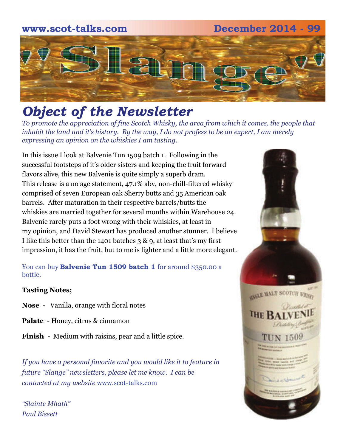### **www.scot-talks.com December 2014 - 99** 21

### *Object of the Newsletter*

*To promote the appreciation of fine Scotch Whisky, the area from which it comes, the people that inhabit the land and it's history. By the way, I do not profess to be an expert, I am merely expressing an opinion on the whiskies I am tasting.* 

In this issue I look at Balvenie Tun 1509 batch 1. Following in the successful footsteps of it's older sisters and keeping the fruit forward flavors alive, this new Balvenie is quite simply a superb dram. This release is a no age statement, 47.1% abv, non-chill-filtered whisky comprised of seven European oak Sherry butts and 35 American oak barrels. After maturation in their respective barrels/butts the whiskies are married together for several months within Warehouse 24. Balvenie rarely puts a foot wrong with their whiskies, at least in my opinion, and David Stewart has produced another stunner. I believe I like this better than the 1401 batches 3 & 9, at least that's my first impression, it has the fruit, but to me is lighter and a little more elegant.

You can buy **Balvenie Tun 1509 batch 1** for around \$350.00 a bottle.

#### **Tasting Notes;**

- **Nose**  Vanilla, orange with floral notes
- **Palate**  Honey, citrus & cinnamon

**Finish** - Medium with raisins, pear and a little spice.

*If you have a personal favorite and you would like it to feature in future "Slange" newsletters, please let me know. I can be contacted at my website* [www.scot-talks.com](http://www.scot-talks.com/default.html)

*"Slainte Mhath" Paul Bissett*

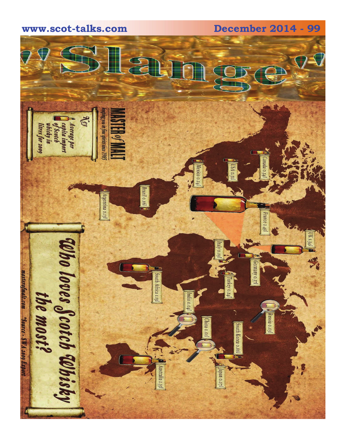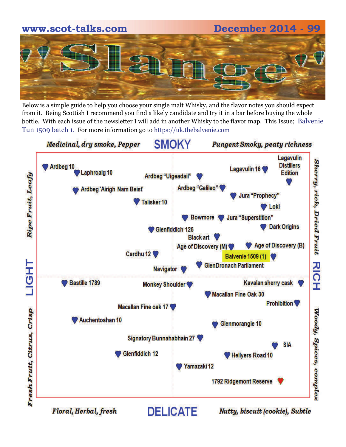# **www.scot-talks.com December 2014 - 99**

Below is a simple guide to help you choose your single malt Whisky, and the flavor notes you should expect from it. Being Scottish I recommend you find a likely candidate and try it in a bar before buying the whole bottle. With each issue of the newsletter I will add in another Whisky to the flavor map. This Issue; Balvenie Tun 1509 batch 1. For more information go to https://uk.thebalvenie.com

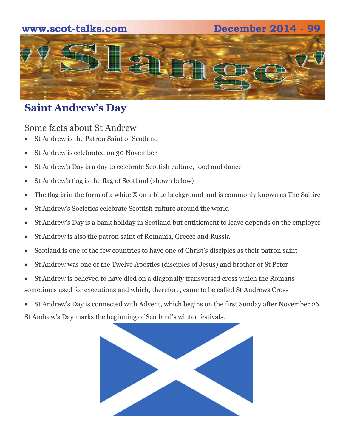#### **www.scot-talks.com December 2014 - 99**



#### **Saint Andrew's Day**

#### Some facts about St Andrew

- St Andrew is the Patron Saint of Scotland
- St Andrew is celebrated on 30 November
- St Andrew's Day is a day to celebrate Scottish culture, food and dance
- St Andrew's flag is the flag of Scotland (shown below)
- The flag is in the form of a white X on a blue background and is commonly known as The Saltire
- St Andrew's Societies celebrate Scottish culture around the world
- St Andrew's Day is a bank holiday in Scotland but entitlement to leave depends on the employer
- St Andrew is also the patron saint of Romania, Greece and Russia
- Scotland is one of the few countries to have one of Christ's disciples as their patron saint
- St Andrew was one of the Twelve Apostles (disciples of Jesus) and brother of St Peter
- St Andrew is believed to have died on a diagonally transversed cross which the Romans sometimes used for executions and which, therefore, came to be called St Andrews Cross
- St Andrew's Day is connected with Advent, which begins on the first Sunday after November 26

St Andrew's Day marks the beginning of Scotland's winter festivals.